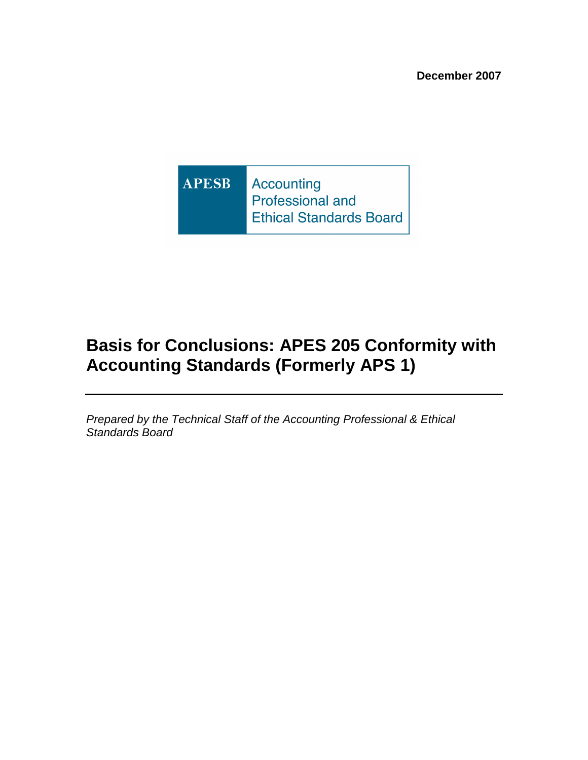**APESB Accounting** Professional and **Ethical Standards Board** 

# **Basis for Conclusions: APES 205 Conformity with Accounting Standards (Formerly APS 1)**

Prepared by the Technical Staff of the Accounting Professional & Ethical Standards Board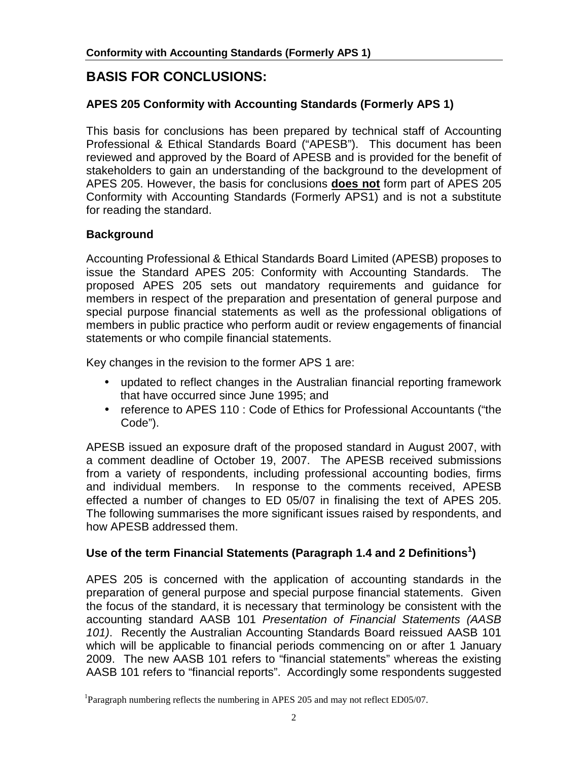## **BASIS FOR CONCLUSIONS:**

## **APES 205 Conformity with Accounting Standards (Formerly APS 1)**

This basis for conclusions has been prepared by technical staff of Accounting Professional & Ethical Standards Board ("APESB"). This document has been reviewed and approved by the Board of APESB and is provided for the benefit of stakeholders to gain an understanding of the background to the development of APES 205. However, the basis for conclusions **does not** form part of APES 205 Conformity with Accounting Standards (Formerly APS1) and is not a substitute for reading the standard.

## **Background**

Accounting Professional & Ethical Standards Board Limited (APESB) proposes to issue the Standard APES 205: Conformity with Accounting Standards. The proposed APES 205 sets out mandatory requirements and guidance for members in respect of the preparation and presentation of general purpose and special purpose financial statements as well as the professional obligations of members in public practice who perform audit or review engagements of financial statements or who compile financial statements.

Key changes in the revision to the former APS 1 are:

- updated to reflect changes in the Australian financial reporting framework that have occurred since June 1995; and
- reference to APES 110 : Code of Ethics for Professional Accountants ("the Code").

APESB issued an exposure draft of the proposed standard in August 2007, with a comment deadline of October 19, 2007. The APESB received submissions from a variety of respondents, including professional accounting bodies, firms and individual members. In response to the comments received, APESB effected a number of changes to ED 05/07 in finalising the text of APES 205. The following summarises the more significant issues raised by respondents, and how APESB addressed them.

## Use of the term Financial Statements (Paragraph 1.4 and 2 Definitions<sup>1</sup>)

APES 205 is concerned with the application of accounting standards in the preparation of general purpose and special purpose financial statements. Given the focus of the standard, it is necessary that terminology be consistent with the accounting standard AASB 101 Presentation of Financial Statements (AASB 101). Recently the Australian Accounting Standards Board reissued AASB 101 which will be applicable to financial periods commencing on or after 1 January 2009. The new AASB 101 refers to "financial statements" whereas the existing AASB 101 refers to "financial reports". Accordingly some respondents suggested

<sup>&</sup>lt;sup>1</sup>Paragraph numbering reflects the numbering in APES 205 and may not reflect ED05/07.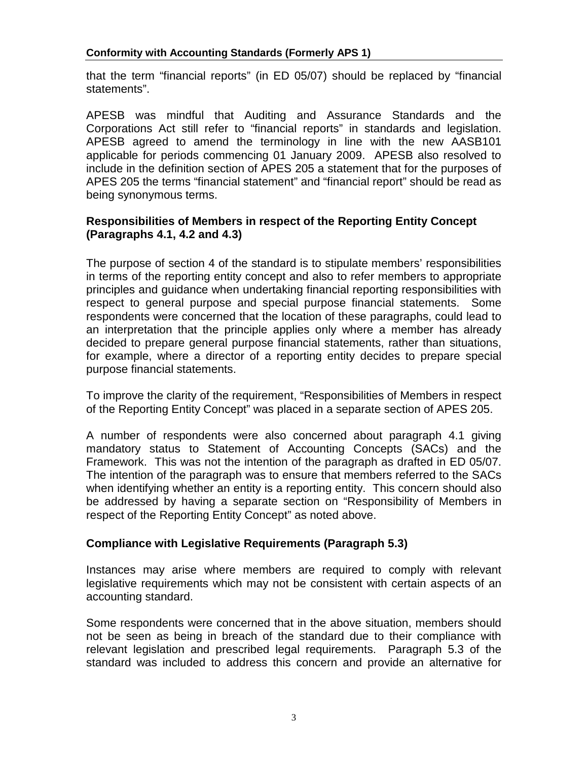that the term "financial reports" (in ED 05/07) should be replaced by "financial statements".

APESB was mindful that Auditing and Assurance Standards and the Corporations Act still refer to "financial reports" in standards and legislation. APESB agreed to amend the terminology in line with the new AASB101 applicable for periods commencing 01 January 2009. APESB also resolved to include in the definition section of APES 205 a statement that for the purposes of APES 205 the terms "financial statement" and "financial report" should be read as being synonymous terms.

### **Responsibilities of Members in respect of the Reporting Entity Concept (Paragraphs 4.1, 4.2 and 4.3)**

The purpose of section 4 of the standard is to stipulate members' responsibilities in terms of the reporting entity concept and also to refer members to appropriate principles and guidance when undertaking financial reporting responsibilities with respect to general purpose and special purpose financial statements. Some respondents were concerned that the location of these paragraphs, could lead to an interpretation that the principle applies only where a member has already decided to prepare general purpose financial statements, rather than situations, for example, where a director of a reporting entity decides to prepare special purpose financial statements.

To improve the clarity of the requirement, "Responsibilities of Members in respect of the Reporting Entity Concept" was placed in a separate section of APES 205.

A number of respondents were also concerned about paragraph 4.1 giving mandatory status to Statement of Accounting Concepts (SACs) and the Framework. This was not the intention of the paragraph as drafted in ED 05/07. The intention of the paragraph was to ensure that members referred to the SACs when identifying whether an entity is a reporting entity. This concern should also be addressed by having a separate section on "Responsibility of Members in respect of the Reporting Entity Concept" as noted above.

## **Compliance with Legislative Requirements (Paragraph 5.3)**

Instances may arise where members are required to comply with relevant legislative requirements which may not be consistent with certain aspects of an accounting standard.

Some respondents were concerned that in the above situation, members should not be seen as being in breach of the standard due to their compliance with relevant legislation and prescribed legal requirements. Paragraph 5.3 of the standard was included to address this concern and provide an alternative for